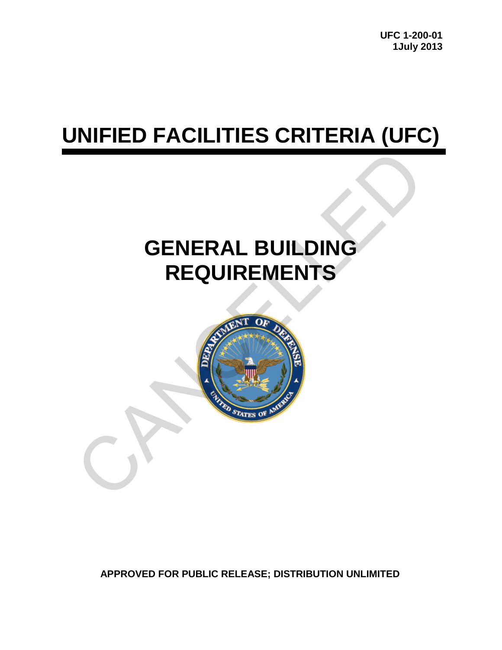# **UNIFIED FACILITIES CRITERIA (UFC)**

## **GENERAL BUILDING REQUIREMENTS**



**APPROVED FOR PUBLIC RELEASE; DISTRIBUTION UNLIMITED**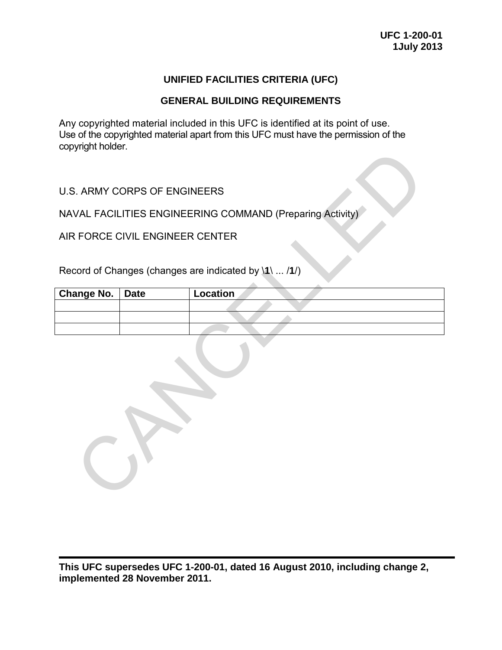## **UNIFIED FACILITIES CRITERIA (UFC)**

#### **GENERAL BUILDING REQUIREMENTS**

Any copyrighted material included in this UFC is identified at its point of use. Use of the copyrighted material apart from this UFC must have the permission of the copyright holder.

U.S. ARMY CORPS OF ENGINEERS

NAVAL FACILITIES ENGINEERING COMMAND (Preparing Activity)

AIR FORCE CIVIL ENGINEER CENTER

Record of Changes (changes are indicated by \**1**\ ... /**1**/)

| <b>Change No. Date</b> | Location |
|------------------------|----------|
|                        |          |
|                        |          |
|                        |          |



**This UFC supersedes UFC 1-200-01, dated 16 August 2010, including change 2, implemented 28 November 2011.**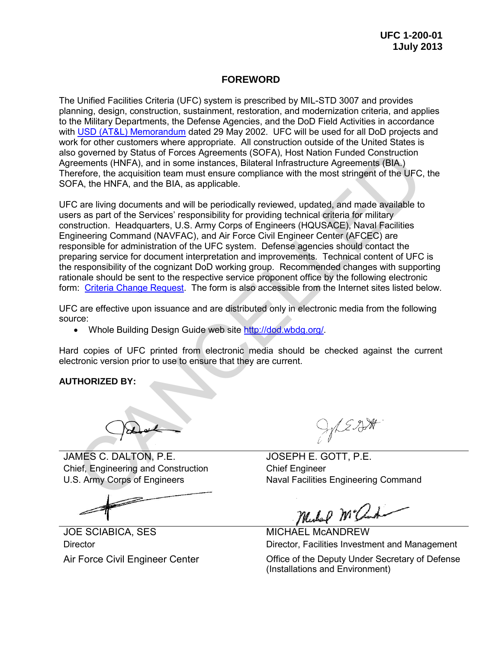#### **FOREWORD**

The Unified Facilities Criteria (UFC) system is prescribed by MIL-STD 3007 and provides planning, design, construction, sustainment, restoration, and modernization criteria, and applies to the Military Departments, the Defense Agencies, and the DoD Field Activities in accordance with [USD \(AT&L\) Memorandum](http://www.wbdg.org/pdfs/ufc_implementation.pdf) dated 29 May 2002. UFC will be used for all DoD projects and work for other customers where appropriate. All construction outside of the United States is also governed by Status of Forces Agreements (SOFA), Host Nation Funded Construction Agreements (HNFA), and in some instances, Bilateral Infrastructure Agreements (BIA.) Therefore, the acquisition team must ensure compliance with the most stringent of the UFC, the SOFA, the HNFA, and the BIA, as applicable.

UFC are living documents and will be periodically reviewed, updated, and made available to users as part of the Services' responsibility for providing technical criteria for military construction. Headquarters, U.S. Army Corps of Engineers (HQUSACE), Naval Facilities Engineering Command (NAVFAC), and Air Force Civil Engineer Center (AFCEC) are responsible for administration of the UFC system. Defense agencies should contact the preparing service for document interpretation and improvements. Technical content of UFC is the responsibility of the cognizant DoD working group. Recommended changes with supporting rationale should be sent to the respective service proponent office by the following electronic form: Criteria Change Request. The form is also accessible from the Internet sites listed below. governed by Status of Forcess Agreements (SDFA), Host Nathal Tunded Construction<br>enements (HNFA), and in some instances, Bilateral Infrastructure Agreements (BIA, b)<br>refore, the acquisition team must ensure compliance with

UFC are effective upon issuance and are distributed only in electronic media from the following source:

• Whole Building Design Guide web site http://dod.wbdg.org/.

Hard copies of UFC printed from electronic media should be checked against the current electronic version prior to use to ensure that they are current.

#### **AUTHORIZED BY:**

JAMES C. DALTON, P.E. JOSEPH E. GOTT, P.E. Chief, Engineering and Construction Chief Engineer

Mulad M'automent

U.S. Army Corps of Engineers Naval Facilities Engineering Command

Director Director, Facilities Investment and Management

Air Force Civil Engineer Center **Center** Office of the Deputy Under Secretary of Defense (Installations and Environment)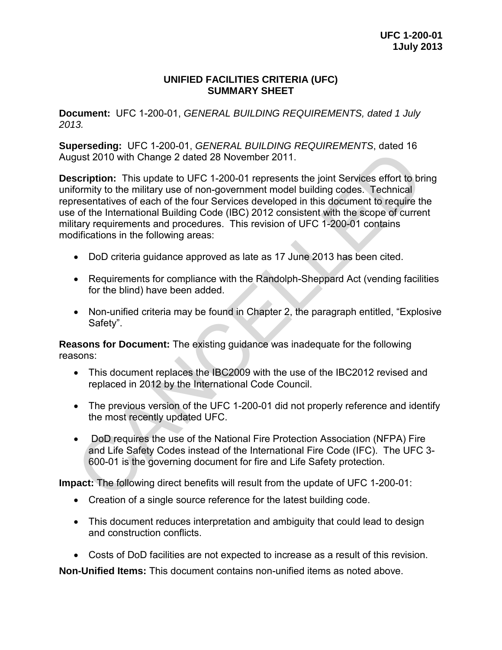#### **UNIFIED FACILITIES CRITERIA (UFC) SUMMARY SHEET**

**Document:** UFC 1-200-01, *GENERAL BUILDING REQUIREMENTS, dated 1 July 2013.*

**Superseding:** UFC 1-200-01, *GENERAL BUILDING REQUIREMENTS*, dated 16 August 2010 with Change 2 dated 28 November 2011.

**Description:** This update to UFC 1-200-01 represents the joint Services effort to bring uniformity to the military use of non-government model building codes. Technical representatives of each of the four Services developed in this document to require the use of the International Building Code (IBC) 2012 consistent with the scope of current military requirements and procedures. This revision of UFC 1-200-01 contains modifications in the following areas: Structure This update of UFC 1-200-01 represents the joint Services effort to bright any start 2010 with Change 2 dated 28 November 2011.<br>
Scription: This update to UFC 1-200-01 represents the joint Services effort to brow

- DoD criteria guidance approved as late as 17 June 2013 has been cited.
- Requirements for compliance with the Randolph-Sheppard Act (vending facilities for the blind) have been added.
- Non-unified criteria may be found in Chapter 2, the paragraph entitled, "Explosive Safety".

**Reasons for Document:** The existing guidance was inadequate for the following reasons:

- This document replaces the IBC2009 with the use of the IBC2012 revised and replaced in 2012 by the International Code Council.
- The previous version of the UFC 1-200-01 did not properly reference and identify the most recently updated UFC.
- DoD requires the use of the National Fire Protection Association (NFPA) Fire and Life Safety Codes instead of the International Fire Code (IFC). The UFC 3- 600-01 is the governing document for fire and Life Safety protection.

**Impact:** The following direct benefits will result from the update of UFC 1-200-01:

- Creation of a single source reference for the latest building code.
- This document reduces interpretation and ambiguity that could lead to design and construction conflicts.
- Costs of DoD facilities are not expected to increase as a result of this revision.

**Non-Unified Items:** This document contains non-unified items as noted above.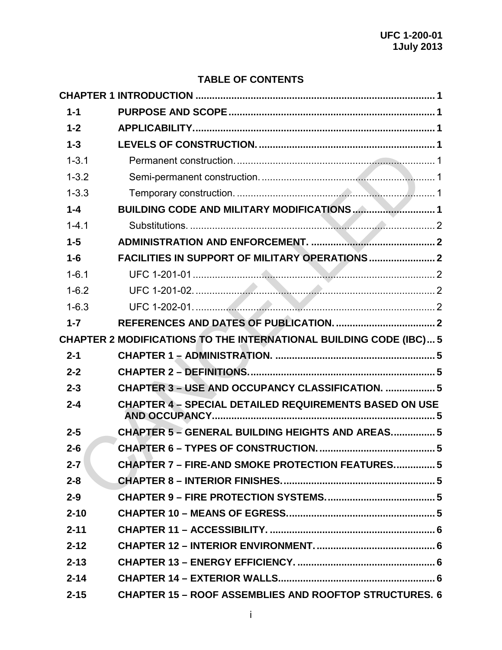## **TABLE OF CONTENTS**

| $1 - 1$   |                                                                           |
|-----------|---------------------------------------------------------------------------|
| $1 - 2$   |                                                                           |
| $1 - 3$   |                                                                           |
| $1 - 3.1$ |                                                                           |
| $1 - 3.2$ |                                                                           |
| $1 - 3.3$ |                                                                           |
| $1 - 4$   |                                                                           |
| $1 - 4.1$ |                                                                           |
| $1 - 5$   |                                                                           |
| $1 - 6$   | <b>FACILITIES IN SUPPORT OF MILITARY OPERATIONS </b>                      |
| $1 - 6.1$ |                                                                           |
| $1 - 6.2$ |                                                                           |
| $1 - 6.3$ |                                                                           |
| $1 - 7$   |                                                                           |
|           | <b>CHAPTER 2 MODIFICATIONS TO THE INTERNATIONAL BUILDING CODE (IBC) 5</b> |
| $2 - 1$   |                                                                           |
| $2 - 2$   |                                                                           |
| $2 - 3$   | CHAPTER 3 - USE AND OCCUPANCY CLASSIFICATION.  5                          |
| $2 - 4$   | <b>CHAPTER 4 - SPECIAL DETAILED REQUIREMENTS BASED ON USE</b>             |
| $2 - 5$   | <b>CHAPTER 5 - GENERAL BUILDING HEIGHTS AND AREAS 5</b>                   |
| $2 - 6$   |                                                                           |
| $2 - 7$   | CHAPTER 7 - FIRE-AND SMOKE PROTECTION FEATURES 5                          |
| $2 - 8$   |                                                                           |
| $2 - 9$   |                                                                           |
| $2 - 10$  |                                                                           |
| $2 - 11$  |                                                                           |
| $2 - 12$  |                                                                           |
| $2 - 13$  |                                                                           |
| $2 - 14$  |                                                                           |
| $2 - 15$  | <b>CHAPTER 15 - ROOF ASSEMBLIES AND ROOFTOP STRUCTURES. 6</b>             |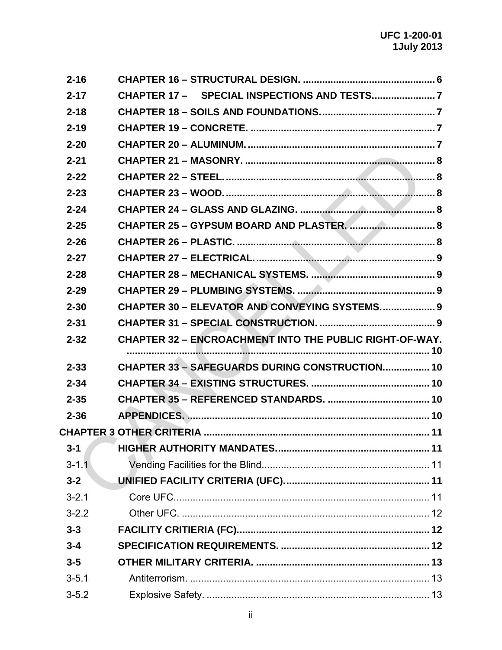| $2 - 16$  |                                                                |  |
|-----------|----------------------------------------------------------------|--|
| $2 - 17$  |                                                                |  |
| $2 - 18$  |                                                                |  |
| $2 - 19$  |                                                                |  |
| $2 - 20$  |                                                                |  |
| $2 - 21$  |                                                                |  |
| $2 - 22$  |                                                                |  |
| $2 - 23$  |                                                                |  |
| $2 - 24$  |                                                                |  |
| $2 - 25$  |                                                                |  |
| $2 - 26$  |                                                                |  |
| $2 - 27$  |                                                                |  |
| $2 - 28$  |                                                                |  |
| $2 - 29$  |                                                                |  |
| $2 - 30$  | CHAPTER 30 - ELEVATOR AND CONVEYING SYSTEMS 9                  |  |
| $2 - 31$  |                                                                |  |
| $2 - 32$  | <b>CHAPTER 32 - ENCROACHMENT INTO THE PUBLIC RIGHT-OF-WAY.</b> |  |
|           |                                                                |  |
| $2 - 33$  | CHAPTER 33 - SAFEGUARDS DURING CONSTRUCTION 10                 |  |
| $2 - 34$  |                                                                |  |
| $2 - 35$  |                                                                |  |
| $2 - 36$  |                                                                |  |
|           |                                                                |  |
| $3 - 1$   |                                                                |  |
| $3 - 1.1$ |                                                                |  |
| $3 - 2$   |                                                                |  |
| $3 - 2.1$ |                                                                |  |
| $3 - 2.2$ |                                                                |  |
| $3 - 3$   |                                                                |  |
| $3 - 4$   |                                                                |  |
| $3-5$     |                                                                |  |
| $3 - 5.1$ |                                                                |  |
| $3 - 5.2$ |                                                                |  |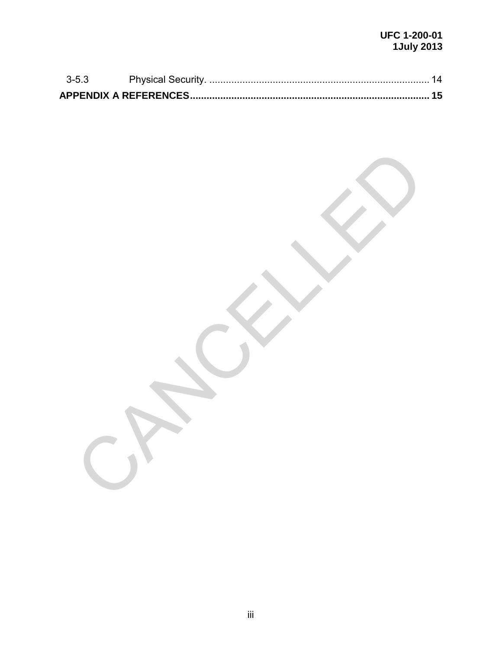# **UFC 1-200-01<br>1July 2013**

| $3 - 5.3$ |  |
|-----------|--|
|           |  |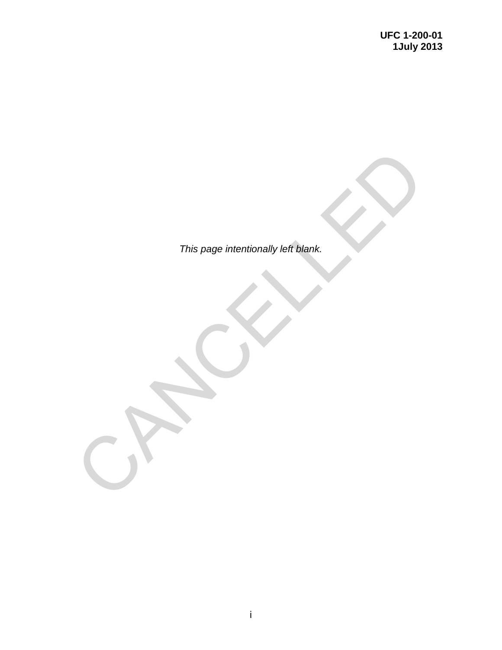*This page intentionally left blank.* This page intentionally left blank.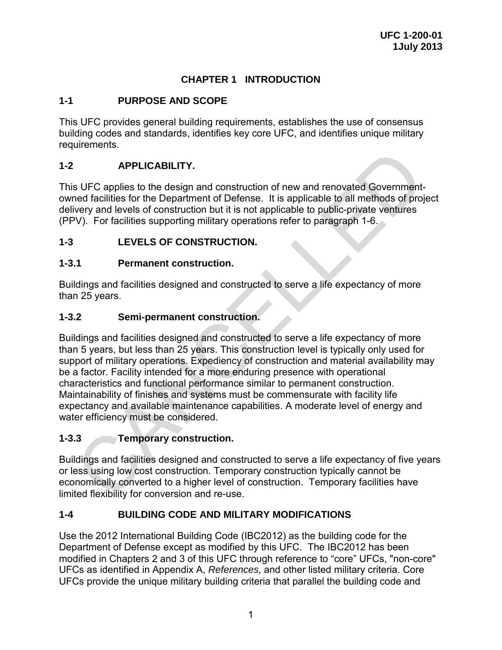## <span id="page-8-0"></span>**CHAPTER 1 INTRODUCTION**

#### <span id="page-8-1"></span>**1-1 PURPOSE AND SCOPE**

This UFC provides general building requirements, establishes the use of consensus building codes and standards, identifies key core UFC, and identifies unique military requirements.

#### <span id="page-8-2"></span>**1-2 APPLICABILITY.**

This UFC applies to the design and construction of new and renovated Governmentowned facilities for the Department of Defense. It is applicable to all methods of project delivery and levels of construction but it is not applicable to public-private ventures (PPV). For facilities supporting military operations refer to paragraph 1-6.

#### <span id="page-8-3"></span>**1-3 LEVELS OF CONSTRUCTION.**

#### <span id="page-8-4"></span>**1-3.1 Permanent construction.**

Buildings and facilities designed and constructed to serve a life expectancy of more than 25 years.

#### <span id="page-8-5"></span>**1-3.2 Semi-permanent construction.**

Buildings and facilities designed and constructed to serve a life expectancy of more than 5 years, but less than 25 years. This construction level is typically only used for support of military operations. Expediency of construction and material availability may be a factor. Facility intended for a more enduring presence with operational characteristics and functional performance similar to permanent construction. Maintainability of finishes and systems must be commensurate with facility life expectancy and available maintenance capabilities. A moderate level of energy and water efficiency must be considered. **APPLICABILITY.**<br>
SUFC applies to the design and construction of new and renovated Government<br>
ed facilities for the Department of Defense. It is applicable to all methods of projectivery and levels of construction but it

## <span id="page-8-6"></span>**1-3.3 Temporary construction.**

Buildings and facilities designed and constructed to serve a life expectancy of five years or less using low cost construction. Temporary construction typically cannot be economically converted to a higher level of construction. Temporary facilities have limited flexibility for conversion and re-use.

## <span id="page-8-7"></span>**1-4 BUILDING CODE AND MILITARY MODIFICATIONS**

Use the 2012 International Building Code (IBC2012) as the building code for the Department of Defense except as modified by this UFC. The IBC2012 has been modified in Chapters 2 and 3 of this UFC through reference to "core" UFCs, "non-core" UFCs as identified in Appendix A, *References*, and other listed military criteria. Core UFCs provide the unique military building criteria that parallel the building code and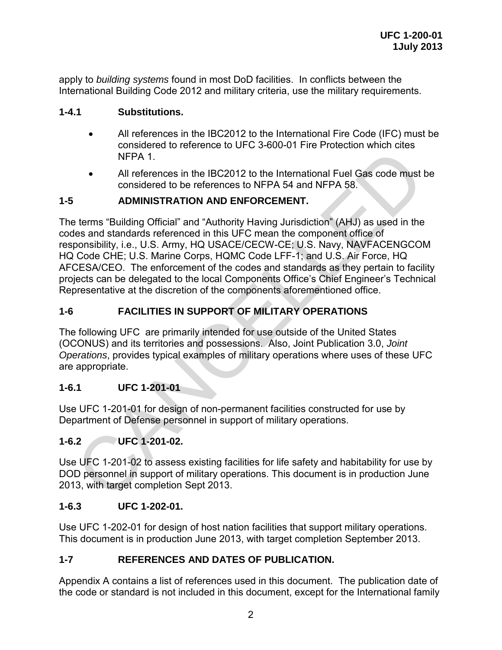apply to *building systems* found in most DoD facilities. In conflicts between the International Building Code 2012 and military criteria, use the military requirements.

## <span id="page-9-0"></span>**1-4.1 Substitutions.**

- All references in the IBC2012 to the International Fire Code (IFC) must be considered to reference to UFC 3-600-01 Fire Protection which cites NFPA 1.
- All references in the IBC2012 to the International Fuel Gas code must be considered to be references to NFPA 54 and NFPA 58.

## <span id="page-9-1"></span>**1-5 ADMINISTRATION AND ENFORCEMENT.**

The terms "Building Official" and "Authority Having Jurisdiction" (AHJ) as used in the codes and standards referenced in this UFC mean the component office of responsibility, i.e., U.S. Army, HQ USACE/CECW-CE; U.S. Navy, NAVFACENGCOM HQ Code CHE; U.S. Marine Corps, HQMC Code LFF-1; and U.S. Air Force, HQ AFCESA/CEO. The enforcement of the codes and standards as they pertain to facility projects can be delegated to the local Components Office's Chief Engineer's Technical Representative at the discretion of the components aforementioned office. NFPA 1.<br>
• All references in the IBC2012 to the International Fuel Gas code must<br>
considered to be references to NFPA 54 and NFPA 58.<br>
ADMINISTRATION AND ENFORCEMENT.<br>
• terms "Building Official" and "Authority Having Juri

## <span id="page-9-2"></span>**1-6 FACILITIES IN SUPPORT OF MILITARY OPERATIONS**

The following UFC are primarily intended for use outside of the United States (OCONUS) and its territories and possessions. Also, Joint Publication 3.0, *Joint Operations*, provides typical examples of military operations where uses of these UFC are appropriate.

## <span id="page-9-3"></span>**1-6.1 UFC 1-201-01**

Use UFC 1-201-01 for design of non-permanent facilities constructed for use by Department of Defense personnel in support of military operations.

## <span id="page-9-4"></span>**1-6.2 UFC 1-201-02.**

Use UFC 1-201-02 to assess existing facilities for life safety and habitability for use by DOD personnel in support of military operations. This document is in production June 2013, with target completion Sept 2013.

## <span id="page-9-5"></span>**1-6.3 UFC 1-202-01.**

Use UFC 1-202-01 for design of host nation facilities that support military operations. This document is in production June 2013, with target completion September 2013.

## <span id="page-9-6"></span>**1-7 REFERENCES AND DATES OF PUBLICATION.**

Appendix A contains a list of references used in this document. The publication date of the code or standard is not included in this document, except for the International family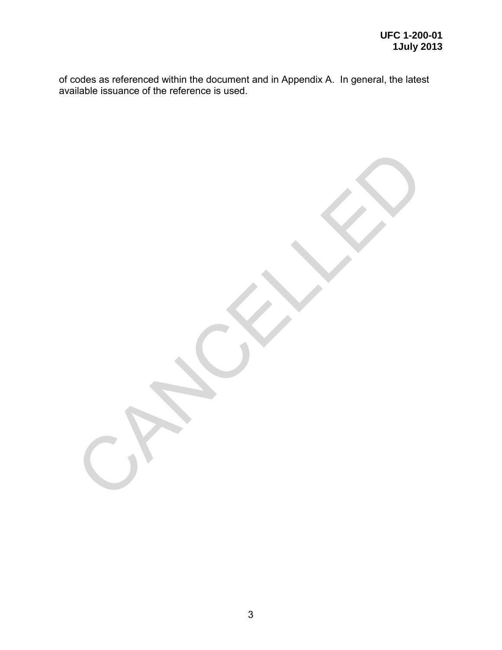of codes as referenced within the document and in Appendix A. In general, the latest available issuance of the reference is used.

CANCELLED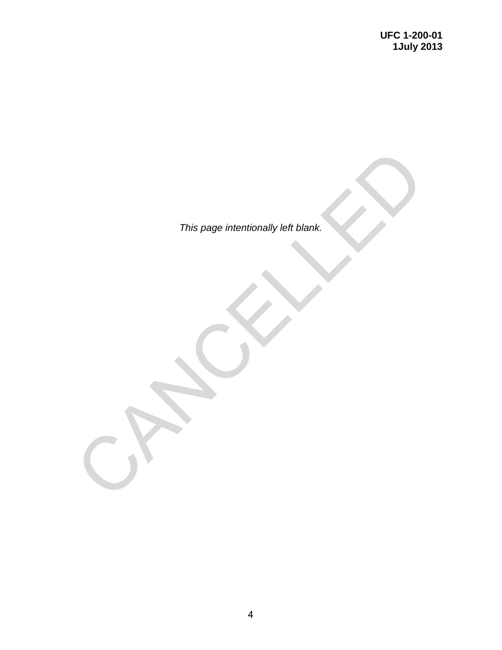*This page intentionally left blank.* This page intentionally left blank.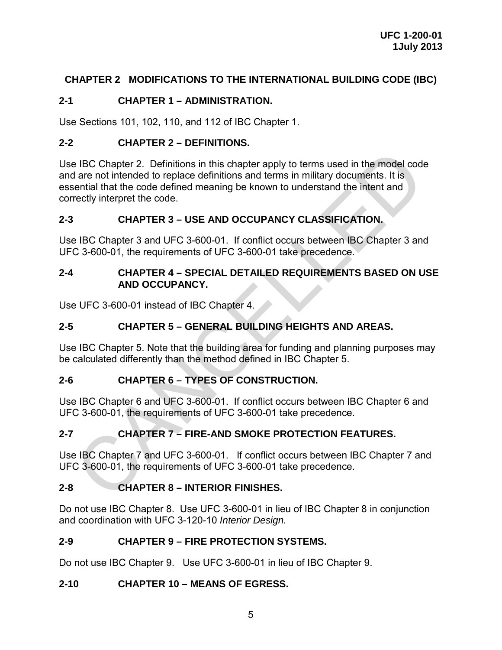## <span id="page-12-0"></span>**CHAPTER 2 MODIFICATIONS TO THE INTERNATIONAL BUILDING CODE (IBC)**

## <span id="page-12-1"></span>**2-1 CHAPTER 1 – ADMINISTRATION.**

Use Sections 101, 102, 110, and 112 of IBC Chapter 1.

## <span id="page-12-2"></span>**2-2 CHAPTER 2 – DEFINITIONS.**

Use IBC Chapter 2. Definitions in this chapter apply to terms used in the model code and are not intended to replace definitions and terms in military documents. It is essential that the code defined meaning be known to understand the intent and correctly interpret the code. 9 IBC Chapter 2. Definitions in this chapter apply to terms used in the model code<br>are not intended to replace definitions and terms in military documents. It is<br>ential that the code defined meaning be known to understand

## <span id="page-12-3"></span>**2-3 CHAPTER 3 – USE AND OCCUPANCY CLASSIFICATION.**

Use IBC Chapter 3 and UFC 3-600-01. If conflict occurs between IBC Chapter 3 and UFC 3-600-01, the requirements of UFC 3-600-01 take precedence.

#### <span id="page-12-4"></span>**2-4 CHAPTER 4 – SPECIAL DETAILED REQUIREMENTS BASED ON USE AND OCCUPANCY.**

Use UFC 3-600-01 instead of IBC Chapter 4.

## <span id="page-12-5"></span>**2-5 CHAPTER 5 – GENERAL BUILDING HEIGHTS AND AREAS.**

Use IBC Chapter 5. Note that the building area for funding and planning purposes may be calculated differently than the method defined in IBC Chapter 5.

## <span id="page-12-6"></span>**2-6 CHAPTER 6 – TYPES OF CONSTRUCTION.**

Use IBC Chapter 6 and UFC 3-600-01. If conflict occurs between IBC Chapter 6 and UFC 3-600-01, the requirements of UFC 3-600-01 take precedence.

## <span id="page-12-7"></span>**2-7 CHAPTER 7 – FIRE-AND SMOKE PROTECTION FEATURES.**

Use IBC Chapter 7 and UFC 3-600-01. If conflict occurs between IBC Chapter 7 and UFC 3-600-01, the requirements of UFC 3-600-01 take precedence.

## <span id="page-12-8"></span>**2-8 CHAPTER 8 – INTERIOR FINISHES.**

Do not use IBC Chapter 8. Use UFC 3-600-01 in lieu of IBC Chapter 8 in conjunction and coordination with UFC 3-120-10 *Interior Design.*

## <span id="page-12-9"></span>**2-9 CHAPTER 9 – FIRE PROTECTION SYSTEMS.**

Do not use IBC Chapter 9. Use UFC 3-600-01 in lieu of IBC Chapter 9.

## <span id="page-12-10"></span>**2-10 CHAPTER 10 – MEANS OF EGRESS.**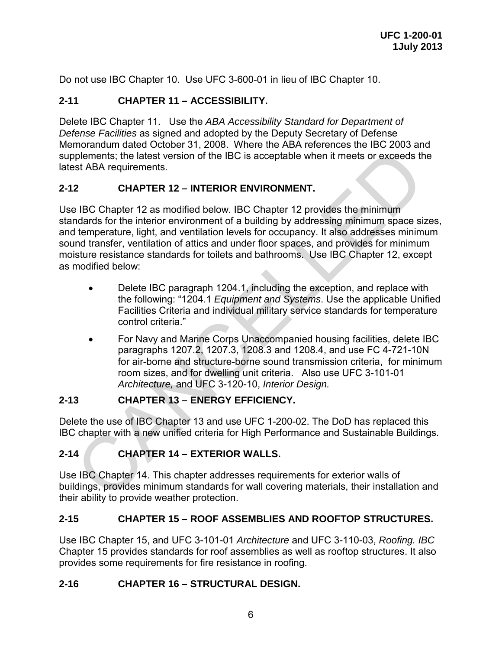Do not use IBC Chapter 10. Use UFC 3-600-01 in lieu of IBC Chapter 10.

## <span id="page-13-0"></span>**2-11 CHAPTER 11 – ACCESSIBILITY.**

Delete IBC Chapter 11. Use the *ABA Accessibility Standard for Department of Defense Facilities* as signed and adopted by the Deputy Secretary of Defense Memorandum dated October 31, 2008. Where the ABA references the IBC 2003 and supplements; the latest version of the IBC is acceptable when it meets or exceeds the latest ABA requirements.

## <span id="page-13-1"></span>**2-12 CHAPTER 12 – INTERIOR ENVIRONMENT.**

Use IBC Chapter 12 as modified below. IBC Chapter 12 provides the minimum standards for the interior environment of a building by addressing minimum space sizes, and temperature, light, and ventilation levels for occupancy. It also addresses minimum sound transfer, ventilation of attics and under floor spaces, and provides for minimum moisture resistance standards for toilets and bathrooms. Use IBC Chapter 12, except as modified below: plements; the latest version of the IBC is acceptable when it meets or exceeds the<br>
StaBA requirements.<br>
2 CHAPTER 12 – INTERIOR ENVIRONMENT.<br>
2 CHAPTER 12 – INTERIOR ENVIRONMENT.<br>
2 IBC Chapter 12 as modified below. IBC C

- Delete IBC paragraph 1204.1, including the exception, and replace with the following: "1204.1 *Equipment and Systems*. Use the applicable Unified Facilities Criteria and individual military service standards for temperature control criteria."
- For Navy and Marine Corps Unaccompanied housing facilities, delete IBC paragraphs 1207.2, 1207.3, 1208.3 and 1208.4, and use FC 4-721-10N for air-borne and structure-borne sound transmission criteria, for minimum room sizes, and for dwelling unit criteria. Also use UFC 3-101-01 *Architecture,* and UFC 3-120-10, *Interior Design.*

## <span id="page-13-2"></span>**2-13 CHAPTER 13 – ENERGY EFFICIENCY.**

Delete the use of IBC Chapter 13 and use UFC 1-200-02. The DoD has replaced this IBC chapter with a new unified criteria for High Performance and Sustainable Buildings.

## <span id="page-13-3"></span>**2-14 CHAPTER 14 – EXTERIOR WALLS.**

Use IBC Chapter 14. This chapter addresses requirements for exterior walls of buildings, provides minimum standards for wall covering materials, their installation and their ability to provide weather protection.

## <span id="page-13-4"></span>**2-15 CHAPTER 15 – ROOF ASSEMBLIES AND ROOFTOP STRUCTURES.**

Use IBC Chapter 15, and UFC 3-101-01 *Architecture* and UFC 3-110-03, *Roofing. IBC*  Chapter 15 provides standards for roof assemblies as well as rooftop structures. It also provides some requirements for fire resistance in roofing.

## <span id="page-13-5"></span>**2-16 CHAPTER 16 – STRUCTURAL DESIGN.**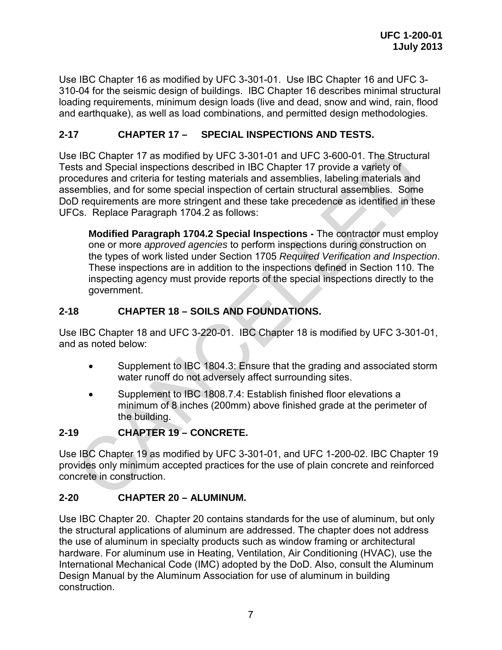Use IBC Chapter 16 as modified by UFC 3-301-01. Use IBC Chapter 16 and UFC 3- 310-04 for the seismic design of buildings. IBC Chapter 16 describes minimal structural loading requirements, minimum design loads (live and dead, snow and wind, rain, flood and earthquake), as well as load combinations, and permitted design methodologies.

## <span id="page-14-0"></span>**2-17 CHAPTER 17 – SPECIAL INSPECTIONS AND TESTS.**

Use IBC Chapter 17 as modified by UFC 3-301-01 and UFC 3-600-01. The Structural Tests and Special inspections described in IBC Chapter 17 provide a variety of procedures and criteria for testing materials and assemblies, labeling materials and assemblies, and for some special inspection of certain structural assemblies. Some DoD requirements are more stringent and these take precedence as identified in these UFCs. Replace Paragraph 1704.2 as follows: 9 IBC Chapter 17 as modified by UFC 3-301-01 and UFC 3-600-01. The Structurat<br>
and Special inspections described in IBC Chapter 17 provide a variety of<br>
educines, and criteria for testing materials and assemblies, labelin

**Modified Paragraph 1704.2 Special Inspections -** The contractor must employ one or more *approved agencies* to perform inspections during construction on the types of work listed under Section 1705 *Required Verification and Inspection*. These inspections are in addition to the inspections defined in Section 110. The inspecting agency must provide reports of the special inspections directly to the government.

## <span id="page-14-1"></span>**2-18 CHAPTER 18 – SOILS AND FOUNDATIONS.**

Use IBC Chapter 18 and UFC 3-220-01. IBC Chapter 18 is modified by UFC 3-301-01, and as noted below:

- Supplement to IBC 1804.3: Ensure that the grading and associated storm water runoff do not adversely affect surrounding sites.
- Supplement to IBC 1808.7.4: Establish finished floor elevations a minimum of 8 inches (200mm) above finished grade at the perimeter of the building.

## <span id="page-14-2"></span>**2-19 CHAPTER 19 – CONCRETE.**

Use IBC Chapter 19 as modified by UFC 3-301-01, and UFC 1-200-02. IBC Chapter 19 provides only minimum accepted practices for the use of plain concrete and reinforced concrete in construction.

## <span id="page-14-3"></span>**2-20 CHAPTER 20 – ALUMINUM.**

Use IBC Chapter 20. Chapter 20 contains standards for the use of aluminum, but only the structural applications of aluminum are addressed. The chapter does not address the use of aluminum in specialty products such as window framing or architectural hardware. For aluminum use in Heating, Ventilation, Air Conditioning (HVAC), use the International Mechanical Code (IMC) adopted by the DoD. Also, consult the Aluminum Design Manual by the Aluminum Association for use of aluminum in building construction.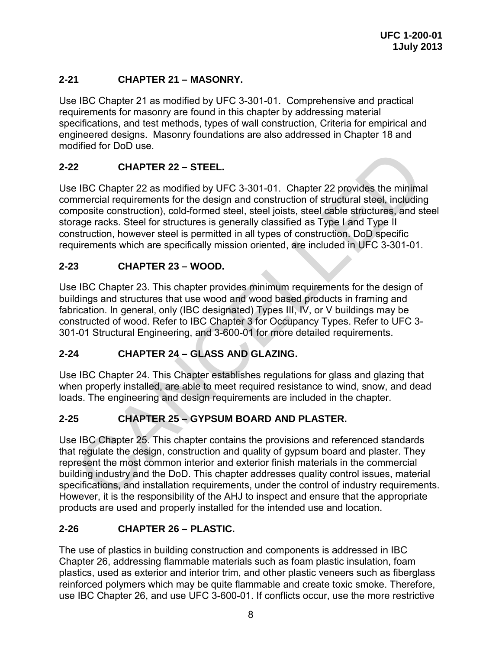## <span id="page-15-0"></span>**2-21 CHAPTER 21 – MASONRY.**

Use IBC Chapter 21 as modified by UFC 3-301-01. Comprehensive and practical requirements for masonry are found in this chapter by addressing material specifications, and test methods, types of wall construction, Criteria for empirical and engineered designs. Masonry foundations are also addressed in Chapter 18 and modified for DoD use.

## <span id="page-15-1"></span>**2-22 CHAPTER 22 – STEEL.**

Use IBC Chapter 22 as modified by UFC 3-301-01. Chapter 22 provides the minimal commercial requirements for the design and construction of structural steel, including composite construction), cold-formed steel, steel joists, steel cable structures, and steel storage racks. Steel for structures is generally classified as Type I and Type II construction, however steel is permitted in all types of construction. DoD specific requirements which are specifically mission oriented, are included in UFC 3-301-01. 2<br>
2<br>
2<br>
CHAPTER 22 – STEEL.<br>
EIEC Chapter 22 as modified by UFC 3-301-01. Chapter 22 provides the minima<br>
Inmercial requirements for the design and construction of structural steel, including<br>
Imposite construction), cold

## <span id="page-15-2"></span>**2-23 CHAPTER 23 – WOOD.**

Use IBC Chapter 23. This chapter provides minimum requirements for the design of buildings and structures that use wood and wood based products in framing and fabrication. In general, only (IBC designated) Types III, IV, or V buildings may be constructed of wood. Refer to IBC Chapter 3 for Occupancy Types. Refer to UFC 3- 301-01 Structural Engineering, and 3-600-01 for more detailed requirements.

## <span id="page-15-3"></span>**2-24 CHAPTER 24 – GLASS AND GLAZING.**

Use IBC Chapter 24. This Chapter establishes regulations for glass and glazing that when properly installed, are able to meet required resistance to wind, snow, and dead loads. The engineering and design requirements are included in the chapter.

## <span id="page-15-4"></span>**2-25 CHAPTER 25 – GYPSUM BOARD AND PLASTER.**

Use IBC Chapter 25. This chapter contains the provisions and referenced standards that regulate the design, construction and quality of gypsum board and plaster. They represent the most common interior and exterior finish materials in the commercial building industry and the DoD. This chapter addresses quality control issues, material specifications, and installation requirements, under the control of industry requirements. However, it is the responsibility of the AHJ to inspect and ensure that the appropriate products are used and properly installed for the intended use and location.

## <span id="page-15-5"></span>**2-26 CHAPTER 26 – PLASTIC.**

The use of plastics in building construction and components is addressed in IBC Chapter 26, addressing flammable materials such as foam plastic insulation, foam plastics, used as exterior and interior trim, and other plastic veneers such as fiberglass reinforced polymers which may be quite flammable and create toxic smoke. Therefore, use IBC Chapter 26, and use UFC 3-600-01. If conflicts occur, use the more restrictive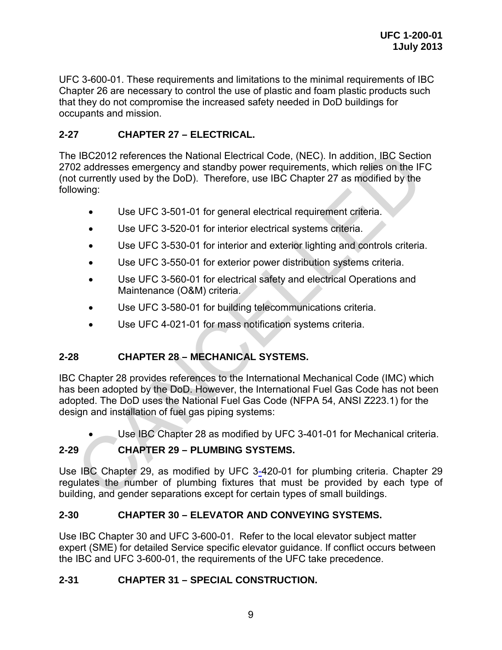UFC 3-600-01. These requirements and limitations to the minimal requirements of IBC Chapter 26 are necessary to control the use of plastic and foam plastic products such that they do not compromise the increased safety needed in DoD buildings for occupants and mission.

## <span id="page-16-0"></span>**2-27 CHAPTER 27 – ELECTRICAL.**

The IBC2012 references the National Electrical Code, (NEC). In addition, IBC Section 2702 addresses emergency and standby power requirements, which relies on the IFC (not currently used by the DoD). Therefore, use IBC Chapter 27 as modified by the following:

- Use UFC 3-501-01 for general electrical requirement criteria.
- Use UFC 3-520-01 for interior electrical systems criteria.
- Use UFC 3-530-01 for interior and exterior lighting and controls criteria.
- Use UFC 3-550-01 for exterior power distribution systems criteria.
- Use UFC 3-560-01 for electrical safety and electrical Operations and Maintenance (O&M) criteria.
- Use UFC 3-580-01 for building telecommunications criteria.
- Use UFC 4-021-01 for mass notification systems criteria.

## <span id="page-16-1"></span>**2-28 CHAPTER 28 – MECHANICAL SYSTEMS.**

IBC Chapter 28 provides references to the International Mechanical Code (IMC) which has been adopted by the DoD. However, the International Fuel Gas Code has not been adopted. The DoD uses the National Fuel Gas Code (NFPA 54, ANSI Z223.1) for the design and installation of fuel gas piping systems: Lacences the National Electrical Code, (NEC). In addition, IBC Section<br>2 addresses emergency and standby power requirements, which relies on the IF<br>2 cadresses emergency and standby power requirement criteria.<br>
Customery

Use IBC Chapter 28 as modified by UFC 3-401-01 for Mechanical criteria.

## <span id="page-16-2"></span>**2-29 CHAPTER 29 – PLUMBING SYSTEMS.**

Use IBC Chapter 29, as modified by UFC 3-420-01 for plumbing criteria. Chapter 29 regulates the number of plumbing fixtures that must be provided by each type of building, and gender separations except for certain types of small buildings.

## <span id="page-16-3"></span>**2-30 CHAPTER 30 – ELEVATOR AND CONVEYING SYSTEMS.**

Use IBC Chapter 30 and UFC 3-600-01. Refer to the local elevator subject matter expert (SME) for detailed Service specific elevator guidance. If conflict occurs between the IBC and UFC 3-600-01, the requirements of the UFC take precedence.

## <span id="page-16-4"></span>**2-31 CHAPTER 31 – SPECIAL CONSTRUCTION.**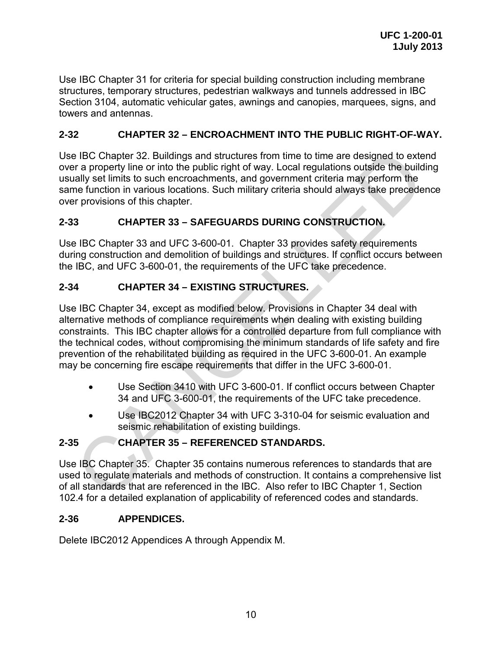Use IBC Chapter 31 for criteria for special building construction including membrane structures, temporary structures, pedestrian walkways and tunnels addressed in IBC Section 3104, automatic vehicular gates, awnings and canopies, marquees, signs, and towers and antennas.

## <span id="page-17-0"></span>**2-32 CHAPTER 32 – ENCROACHMENT INTO THE PUBLIC RIGHT-OF-WAY.**

Use IBC Chapter 32. Buildings and structures from time to time are designed to extend over a property line or into the public right of way. Local regulations outside the building usually set limits to such encroachments, and government criteria may perform the same function in various locations. Such military criteria should always take precedence over provisions of this chapter.

## <span id="page-17-1"></span>**2-33 CHAPTER 33 – SAFEGUARDS DURING CONSTRUCTION.**

Use IBC Chapter 33 and UFC 3-600-01. Chapter 33 provides safety requirements during construction and demolition of buildings and structures. If conflict occurs between the IBC, and UFC 3-600-01, the requirements of the UFC take precedence.

## <span id="page-17-2"></span>**2-34 CHAPTER 34 – EXISTING STRUCTURES.**

Use IBC Chapter 34, except as modified below. Provisions in Chapter 34 deal with alternative methods of compliance requirements when dealing with existing building constraints. This IBC chapter allows for a controlled departure from full compliance with the technical codes, without compromising the minimum standards of life safety and fire prevention of the rehabilitated building as required in the UFC 3-600-01. An example may be concerning fire escape requirements that differ in the UFC 3-600-01. e IBC Chapter 32. Buildings and structures from time to time are designed to exter a property line or into the public right of way. Local regulations outside the building tell limits to such enconchments, and government cr

- Use Section 3410 with UFC 3-600-01. If conflict occurs between Chapter 34 and UFC 3-600-01, the requirements of the UFC take precedence.
- Use IBC2012 Chapter 34 with UFC 3-310-04 for seismic evaluation and seismic rehabilitation of existing buildings.

## <span id="page-17-3"></span>**2-35 CHAPTER 35 – REFERENCED STANDARDS.**

Use IBC Chapter 35. Chapter 35 contains numerous references to standards that are used to regulate materials and methods of construction. It contains a comprehensive list of all standards that are referenced in the IBC. Also refer to IBC Chapter 1, Section 102.4 for a detailed explanation of applicability of referenced codes and standards.

## <span id="page-17-4"></span>**2-36 APPENDICES.**

Delete IBC2012 Appendices A through Appendix M.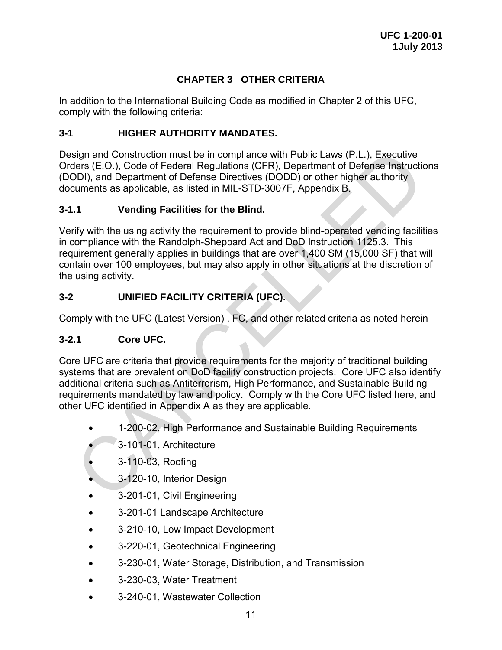## <span id="page-18-0"></span>**CHAPTER 3 OTHER CRITERIA**

In addition to the International Building Code as modified in Chapter 2 of this UFC, comply with the following criteria:

## <span id="page-18-1"></span>**3-1 HIGHER AUTHORITY MANDATES.**

Design and Construction must be in compliance with Public Laws (P.L.), Executive Orders (E.O.), Code of Federal Regulations (CFR), Department of Defense Instructions (DODI), and Department of Defense Directives (DODD) or other higher authority documents as applicable, as listed in MIL-STD-3007F, Appendix B.

## <span id="page-18-2"></span>**3-1.1 Vending Facilities for the Blind.**

Verify with the using activity the requirement to provide blind-operated vending facilities in compliance with the Randolph-Sheppard Act and DoD Instruction 1125.3. This requirement generally applies in buildings that are over 1,400 SM (15,000 SF) that will contain over 100 employees, but may also apply in other situations at the discretion of the using activity. isign and Construction must be in compliance with Public Laws (P.L.), Executive<br>
elers (E.D.), Code of Federal Regulations (GFR), Department of Defense Instruction<br>
DDI), and Department of Defense Directives (DODD) or othe

## <span id="page-18-3"></span>**3-2 UNIFIED FACILITY CRITERIA (UFC).**

Comply with the UFC (Latest Version) , FC, and other related criteria as noted herein

## <span id="page-18-4"></span>**3-2.1 Core UFC.**

Core UFC are criteria that provide requirements for the majority of traditional building systems that are prevalent on DoD facility construction projects. Core UFC also identify additional criteria such as Antiterrorism, High Performance, and Sustainable Building requirements mandated by law and policy. Comply with the Core UFC listed here, and other UFC identified in Appendix A as they are applicable.

- 1-200-02, High Performance and Sustainable Building Requirements
- 3-101-01, Architecture
- 3-110-03, Roofing
- 3-120-10, Interior Design
- 3-201-01, Civil Engineering
- 3-201-01 Landscape Architecture
- 3-210-10, Low Impact Development
- 3-220-01, Geotechnical Engineering
- 3-230-01, Water Storage, Distribution, and Transmission
- 3-230-03, Water Treatment
- 3-240-01, Wastewater Collection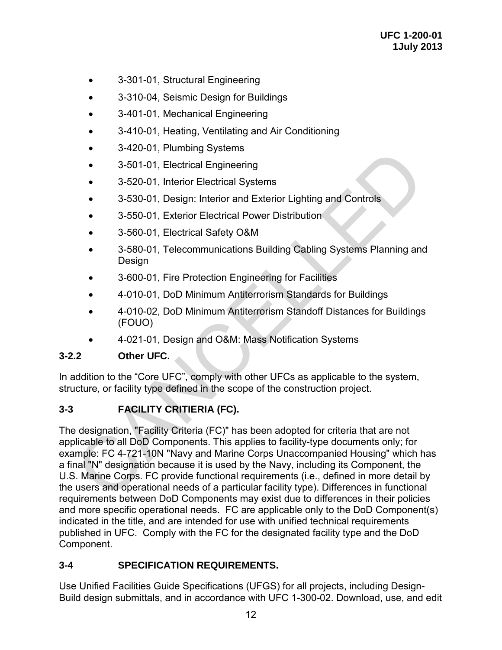- 3-301-01, Structural Engineering
- 3-310-04, Seismic Design for Buildings
- 3-401-01, Mechanical Engineering
- 3-410-01, Heating, Ventilating and Air Conditioning
- 3-420-01, Plumbing Systems
- 3-501-01, Electrical Engineering
- 3-520-01, Interior Electrical Systems
- 3-530-01, Design: Interior and Exterior Lighting and Controls
- 3-550-01, Exterior Electrical Power Distribution
- 3-560-01, Electrical Safety O&M
- 3-580-01, Telecommunications Building Cabling Systems Planning and Design
- 3-600-01, Fire Protection Engineering for Facilities
- 4-010-01, DoD Minimum Antiterrorism Standards for Buildings
- 4-010-02, DoD Minimum Antiterrorism Standoff Distances for Buildings (FOUO)
- 4-021-01, Design and O&M: Mass Notification Systems

## <span id="page-19-0"></span>**3-2.2 Other UFC.**

In addition to the "Core UFC", comply with other UFCs as applicable to the system, structure, or facility type defined in the scope of the construction project.

## <span id="page-19-1"></span>**3-3 FACILITY CRITIERIA (FC).**

The designation, "Facility Criteria (FC)" has been adopted for criteria that are not applicable to all DoD Components. This applies to facility-type documents only; for example: FC 4-721-10N "Navy and Marine Corps Unaccompanied Housing" which has a final "N" designation because it is used by the Navy, including its Component, the U.S. Marine Corps. FC provide functional requirements (i.e., defined in more detail by the users and operational needs of a particular facility type). Differences in functional requirements between DoD Components may exist due to differences in their policies and more specific operational needs. FC are applicable only to the DoD Component(s) indicated in the title, and are intended for use with unified technical requirements published in UFC. Comply with the FC for the designated facility type and the DoD Component. 3-501-01, Flectrical Engineering<br>
3-501-01, Electrical Engineering<br>
3-501-01, Electrical Engineering<br>
3-501-01, Electrical Systems<br>
3-530-01, Exterior Electrical Power Distribution<br>
3-560-01, Exterior Electrical Power Dist

## <span id="page-19-2"></span>**3-4 SPECIFICATION REQUIREMENTS.**

Use Unified Facilities Guide Specifications (UFGS) for all projects, including Design-Build design submittals, and in accordance with UFC 1-300-02. Download, use, and edit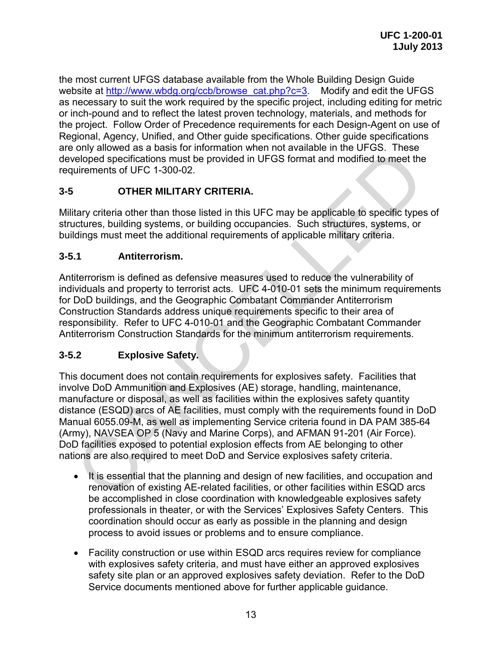the most current UFGS database available from the Whole Building Design Guide website at [http://www.wbdg.org/ccb/browse\\_cat.php?c=3.](http://www.wbdg.org/ccb/browse_cat.php?c=3) Modify and edit the UFGS as necessary to suit the work required by the specific project, including editing for metric or inch-pound and to reflect the latest proven technology, materials, and methods for the project. Follow Order of Precedence requirements for each Design-Agent on use of Regional, Agency, Unified, and Other guide specifications. Other guide specifications are only allowed as a basis for information when not available in the UFGS. These developed specifications must be provided in UFGS format and modified to meet the requirements of UFC 1-300-02.

## <span id="page-20-0"></span>**3-5 OTHER MILITARY CRITERIA.**

Military criteria other than those listed in this UFC may be applicable to specific types of structures, building systems, or building occupancies. Such structures, systems, or buildings must meet the additional requirements of applicable military criteria.

## <span id="page-20-1"></span>**3-5.1 Antiterrorism.**

Antiterrorism is defined as defensive measures used to reduce the vulnerability of individuals and property to terrorist acts. UFC 4-010-01 sets the minimum requirements for DoD buildings, and the Geographic Combatant Commander Antiterrorism Construction Standards address unique requirements specific to their area of responsibility. Refer to UFC 4-010-01 and the Geographic Combatant Commander Antiterrorism Construction Standards for the minimum antiterrorism requirements.

## <span id="page-20-2"></span>**3-5.2 Explosive Safety.**

This document does not contain requirements for explosives safety. Facilities that involve DoD Ammunition and Explosives (AE) storage, handling, maintenance, manufacture or disposal, as well as facilities within the explosives safety quantity distance (ESQD) arcs of AE facilities, must comply with the requirements found in DoD Manual 6055.09-M, as well as implementing Service criteria found in DA PAM 385-64 (Army), NAVSEA OP 5 (Navy and Marine Corps), and AFMAN 91-201 (Air Force). DoD facilities exposed to potential explosion effects from AE belonging to other nations are also required to meet DoD and Service explosives safety criteria. or and the product of a based on an anti-mode. The method of the product of the product of the product of UFCS format and modified to meet the unrements of UFC 1-300-02.<br> **CTHER MILITARY CRITERIA.**<br>
Internetting other than

- It is essential that the planning and design of new facilities, and occupation and renovation of existing AE-related facilities, or other facilities within ESQD arcs be accomplished in close coordination with knowledgeable explosives safety professionals in theater, or with the Services' Explosives Safety Centers. This coordination should occur as early as possible in the planning and design process to avoid issues or problems and to ensure compliance.
- Facility construction or use within ESQD arcs requires review for compliance with explosives safety criteria, and must have either an approved explosives safety site plan or an approved explosives safety deviation. Refer to the DoD Service documents mentioned above for further applicable guidance.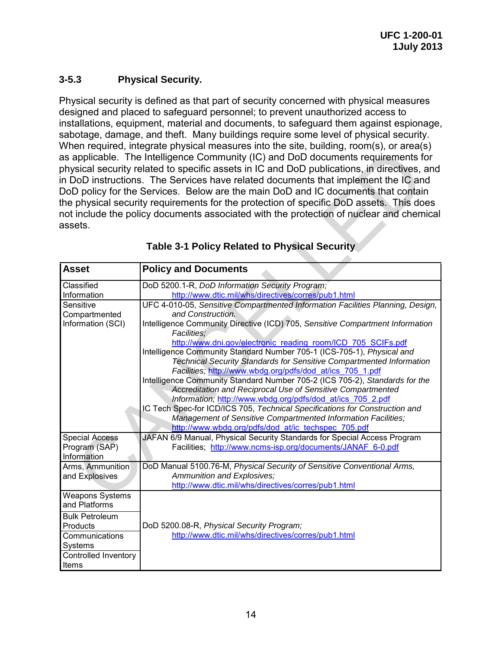## <span id="page-21-0"></span>**3-5.3 Physical Security.**

Physical security is defined as that part of security concerned with physical measures designed and placed to safeguard personnel; to prevent unauthorized access to installations, equipment, material and documents, to safeguard them against espionage, sabotage, damage, and theft. Many buildings require some level of physical security. When required, integrate physical measures into the site, building, room(s), or area(s) as applicable. The Intelligence Community (IC) and DoD documents requirements for physical security related to specific assets in IC and DoD publications, in directives, and in DoD instructions. The Services have related documents that implement the IC and DoD policy for the Services. Below are the main DoD and IC documents that contain the physical security requirements for the protection of specific DoD assets. This does not include the policy documents associated with the protection of nuclear and chemical assets.

| assets.                                                                                                                                           | as applicable. The Intelligence Community (IC) and DoD documents requirements for<br>physical security related to specific assets in IC and DoD publications, in directives, and<br>in DoD instructions. The Services have related documents that implement the IC and<br>DoD policy for the Services. Below are the main DoD and IC documents that contain<br>the physical security requirements for the protection of specific DoD assets. This does<br>not include the policy documents associated with the protection of nuclear and chemical                                                                                                                                                                                                                                                                                                                                                            |
|---------------------------------------------------------------------------------------------------------------------------------------------------|--------------------------------------------------------------------------------------------------------------------------------------------------------------------------------------------------------------------------------------------------------------------------------------------------------------------------------------------------------------------------------------------------------------------------------------------------------------------------------------------------------------------------------------------------------------------------------------------------------------------------------------------------------------------------------------------------------------------------------------------------------------------------------------------------------------------------------------------------------------------------------------------------------------|
|                                                                                                                                                   | Table 3-1 Policy Related to Physical Security                                                                                                                                                                                                                                                                                                                                                                                                                                                                                                                                                                                                                                                                                                                                                                                                                                                                |
| <b>Asset</b>                                                                                                                                      | <b>Policy and Documents</b>                                                                                                                                                                                                                                                                                                                                                                                                                                                                                                                                                                                                                                                                                                                                                                                                                                                                                  |
| Classified<br>Information                                                                                                                         | DoD 5200.1-R, DoD Information Security Program;<br>http://www.dtic.mil/whs/directives/corres/pub1.html                                                                                                                                                                                                                                                                                                                                                                                                                                                                                                                                                                                                                                                                                                                                                                                                       |
| Sensitive<br>Compartmented<br>Information (SCI)                                                                                                   | UFC 4-010-05, Sensitive Compartmented Information Facilities Planning, Design,<br>and Construction.<br>Intelligence Community Directive (ICD) 705, Sensitive Compartment Information<br><b>Facilities:</b><br>http://www.dni.gov/electronic reading room/ICD 705 SCIFs.pdf<br>Intelligence Community Standard Number 705-1 (ICS-705-1), Physical and<br>Technical Security Standards for Sensitive Compartmented Information<br>Facilities; http://www.wbdg.org/pdfs/dod at/ics 705 1.pdf<br>Intelligence Community Standard Number 705-2 (ICS 705-2), Standards for the<br>Accreditation and Reciprocal Use of Sensitive Compartmented<br>Information; http://www.wbdg.org/pdfs/dod at/ics 705 2.pdf<br>IC Tech Spec-for ICD/ICS 705, Technical Specifications for Construction and<br>Management of Sensitive Compartmented Information Facilities;<br>http://www.wbdg.org/pdfs/dod at/ic techspec 705.pdf |
| <b>Special Access</b><br>Program (SAP)<br>Information                                                                                             | JAFAN 6/9 Manual, Physical Security Standards for Special Access Program<br>Facilities; http://www.ncms-isp.org/documents/JANAF 6-0.pdf                                                                                                                                                                                                                                                                                                                                                                                                                                                                                                                                                                                                                                                                                                                                                                      |
| Arms, Ammunition<br>and Explosives                                                                                                                | DoD Manual 5100.76-M, Physical Security of Sensitive Conventional Arms,<br>Ammunition and Explosives;<br>http://www.dtic.mil/whs/directives/corres/pub1.html                                                                                                                                                                                                                                                                                                                                                                                                                                                                                                                                                                                                                                                                                                                                                 |
| <b>Weapons Systems</b><br>and Platforms<br><b>Bulk Petroleum</b><br>Products<br>Communications<br>Systems<br><b>Controlled Inventory</b><br>Items | DoD 5200.08-R, Physical Security Program;<br>http://www.dtic.mil/whs/directives/corres/pub1.html                                                                                                                                                                                                                                                                                                                                                                                                                                                                                                                                                                                                                                                                                                                                                                                                             |

## **Table 3-1 Policy Related to Physical Security**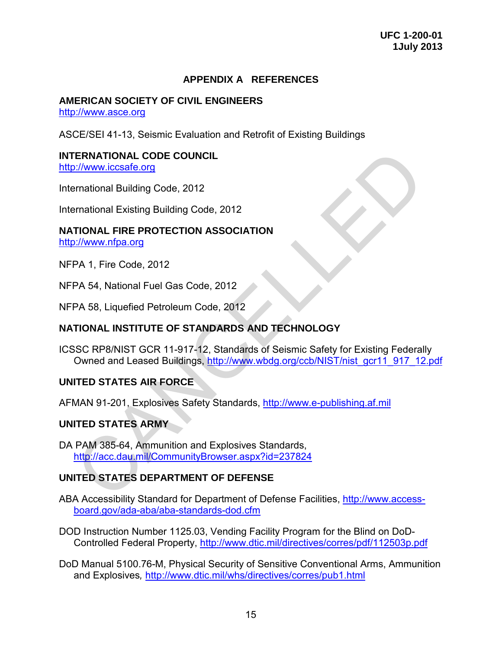#### <span id="page-22-0"></span>**APPENDIX A REFERENCES**

#### **AMERICAN SOCIETY OF CIVIL ENGINEERS**

[http://www.asce.org](http://www.asce.org/)

ASCE/SEI 41-13, Seismic Evaluation and Retrofit of Existing Buildings

#### **INTERNATIONAL CODE COUNCIL**

http://www.iccsafe.org

International Building Code, 2012

International Existing Building Code, 2012

## **NATIONAL FIRE PROTECTION ASSOCIATION**

[http://www.nfpa.org](http://www.nfpa.org/)

NFPA 1, Fire Code, 2012

NFPA 54, National Fuel Gas Code, 2012

NFPA 58, Liquefied Petroleum Code, 2012

## **NATIONAL INSTITUTE OF STANDARDS AND TECHNOLOGY**

ICSSC RP8/NIST GCR 11-917-12, Standards of Seismic Safety for Existing Federally Owned and Leased Buildings, http://www.wbdg.org/ccb/NIST/nist\_gcr11\_917\_12.pdf ERNATIONAL CODE COU[NC](http://www.wbdg.org/ccb/NIST/nist_gcr11_917_12.pdf)IL<br>
Continues and Existing Building Code, 2012<br>
TroNAL FIRE PROTECTION ASSOCIATION<br>
Communicational Existing Building Code, 2012<br>
PA 1, Fire Code, 2012<br>
PA 54, National Fuel Gas Code, 2012<br>
PA 54, Nati

#### **UNITED STATES AIR FORCE**

AFMAN 91-201, Explosives Safety Standards, http://www.e-publishing.af.mil

## **UNITED STATES ARMY**

DA PAM 385-64, Ammunition and Explosives Standards, http://acc.dau.mil/CommunityBrowser.aspx?id=237824

#### **UNITED STATES DEPARTMENT OF DEFENSE**

- ABA Accessibility Standard for Department of Defense Facilities, [http://www.access](http://www.access-board.gov/ada-aba/aba-standards-dod.cfm)[board.gov/ada-aba/aba-standards-dod.cfm](http://www.access-board.gov/ada-aba/aba-standards-dod.cfm)
- DOD Instruction Number 1125.03, Vending Facility Program for the Blind on DoD-Controlled Federal Property, <http://www.dtic.mil/directives/corres/pdf/112503p.pdf>
- DoD Manual 5100.76-M, Physical Security of Sensitive Conventional Arms, Ammunition and Explosives*,* <http://www.dtic.mil/whs/directives/corres/pub1.html>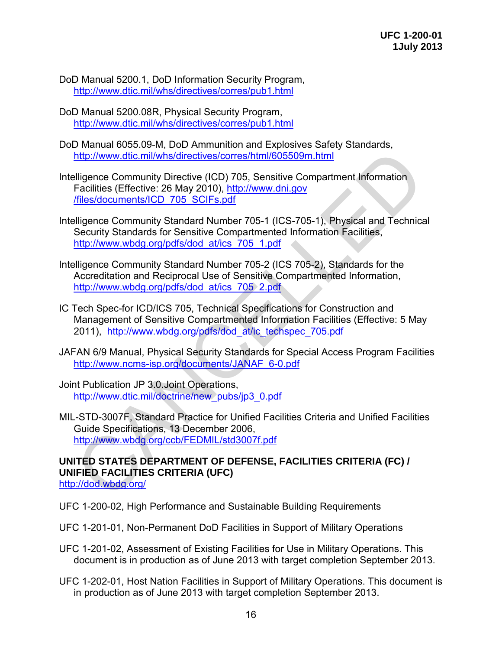- DoD Manual 5200.1, DoD Information Security Program, <http://www.dtic.mil/whs/directives/corres/pub1.html>
- DoD Manual 5200.08R, Physical Security Program, <http://www.dtic.mil/whs/directives/corres/pub1.html>
- DoD Manual 6055.09-M, DoD Ammunition and Explosives Safety Standards, http://www.dtic.mil/whs/directives/corres/html/605509m.html
- Intelligence Community Directive (ICD) 705, Sensitive Compartment Information Facilities (Effective: 26 May 2010), http://www.dni.gov /files/documents/ICD\_705\_SCIFs.pdf
- Intelligence Community Standard Number 705-1 (ICS-705-1), Physical and Technical Security Standards for Sensitive Compartmented Information Facilities, http://www.wbdg.org/pdfs/dod\_at/ics\_705\_1.pdf http://www.dtic.mil/whs/directives/corres/html/605509m.html<br>
elligence [C](http://www.wbdg.org/ccb/FEDMIL/std3007f.pdf)ommunity Directive (ICD) 705, Sensitive Compartment Information<br>
Facilitities ([E](http://www.wbdg.org/pdfs/dod_at/ic_techspec_705.pdf)ffective: 26 May 2010), http://www.dnl.gov<br>
difference Community Stand
- Intelligence Community Standard Number 705-2 (ICS 705-2), Standards for the Accreditation and Reciprocal Use of Sensitive Compartmented Information, http://www.wbdg.org/pdfs/dod\_at/ics\_705\_2.pdf
- IC Tech Spec-for ICD/ICS 705, Technical Specifications for Construction and Management of Sensitive Compartmented Information Facilities (Effective: 5 May 2011), http://www.wbdg.org/pdfs/dod\_at/ic\_techspec\_705.pdf
- JAFAN 6/9 Manual, Physical Security Standards for Special Access Program Facilities http://www.ncms-isp.org/documents/JANAF\_6-0.pdf
- Joint Publication JP 3.0.Joint Operations, http://www.dtic.mil/doctrine/new\_pubs/jp3\_0.pdf
- MIL-STD-3007F, Standard Practice for Unified Facilities Criteria and Unified Facilities Guide Specifications, 13 December 2006, http://www.wbdg.org/ccb/FEDMIL/std3007f.pdf

## **UNITED STATES DEPARTMENT OF DEFENSE, FACILITIES CRITERIA (FC) / UNIFIED FACILITIES CRITERIA (UFC)**

<http://dod.wbdg.org/>

- UFC 1-200-02, High Performance and Sustainable Building Requirements
- UFC 1-201-01, Non-Permanent DoD Facilities in Support of Military Operations
- UFC 1-201-02, Assessment of Existing Facilities for Use in Military Operations. This document is in production as of June 2013 with target completion September 2013.
- UFC 1-202-01, Host Nation Facilities in Support of Military Operations. This document is in production as of June 2013 with target completion September 2013.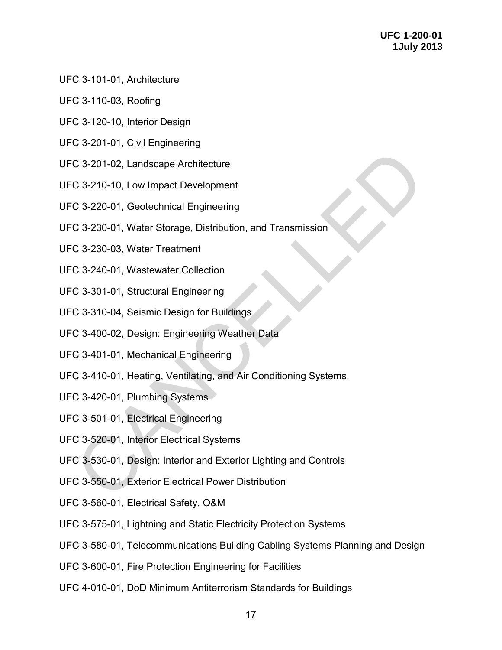- UFC 3-101-01, Architecture
- UFC 3-110-03, Roofing
- UFC 3-120-10, Interior Design
- UFC 3-201-01, Civil Engineering
- UFC 3-201-02, Landscape Architecture
- UFC 3-210-10, Low Impact Development
- UFC 3-220-01, Geotechnical Engineering
- UFC 3-230-01, Water Storage, Distribution, and Transmission
- UFC 3-230-03, Water Treatment
- UFC 3-240-01, Wastewater Collection
- UFC 3-301-01, Structural Engineering
- UFC 3-310-04, Seismic Design for Buildings
- UFC 3-400-02, Design: Engineering Weather Data
- UFC 3-401-01, Mechanical Engineering
- UFC 3-410-01, Heating, Ventilating, and Air Conditioning Systems. C 3-201-02, Landscape Architecture<br>
C 3-201-02, Landscape Architecture<br>
C 3-220-01, Geotechnical Engineering<br>
C 3-230-01, Water Storage, Distribution, and Transmission<br>
C 3-230-03, Water Treatment<br>
C 3-240-01, Wastewater C
- UFC 3-420-01, Plumbing Systems
- UFC 3-501-01, Electrical Engineering
- UFC 3-520-01, Interior Electrical Systems
- UFC 3-530-01, Design: Interior and Exterior Lighting and Controls
- UFC 3-550-01, Exterior Electrical Power Distribution
- UFC 3-560-01, Electrical Safety, O&M
- UFC 3-575-01, Lightning and Static Electricity Protection Systems
- UFC 3-580-01, Telecommunications Building Cabling Systems Planning and Design
- UFC 3-600-01, Fire Protection Engineering for Facilities
- UFC 4-010-01, DoD Minimum Antiterrorism Standards for Buildings